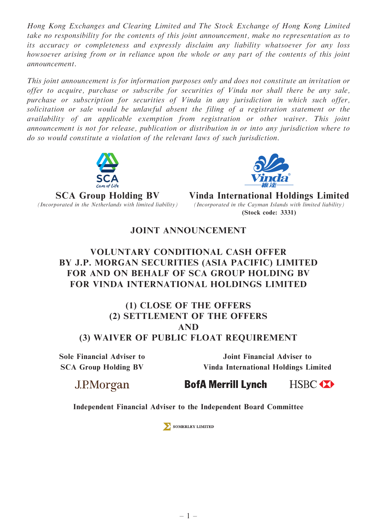Hong Kong Exchanges and Clearing Limited and The Stock Exchange of Hong Kong Limited take no responsibility for the contents of this joint announcement, make no representation as to its accuracy or completeness and expressly disclaim any liability whatsoever for any loss howsoever arising from or in reliance upon the whole or any part of the contents of this joint announcement.

This joint announcement is for information purposes only and does not constitute an invitation or offer to acquire, purchase or subscribe for securities of Vinda nor shall there be any sale, purchase or subscription for securities of Vinda in any jurisdiction in which such offer, solicitation or sale would be unlawful absent the filing of a registration statement or the availability of an applicable exemption from registration or other waiver. This joint announcement is not for release, publication or distribution in or into any jurisdiction where to do so would constitute a violation of the relevant laws of such jurisdiction.





**SCA Group Holding BV** Vinda International Holdings Limited (*Incorporated in the Netherlands with limited liability*) (*Incorporated in the Cayman Islands with limited liability*) (Incorporated in the Cayman Islands with limited liability) (Stock code: 3331)

## JOINT ANNOUNCEMENT

# VOLUNTARY CONDITIONAL CASH OFFER BY J.P. MORGAN SECURITIES (ASIA PACIFIC) LIMITED FOR AND ON BEHALF OF SCA GROUP HOLDING BV FOR VINDA INTERNATIONAL HOLDINGS LIMITED

## (1) CLOSE OF THE OFFERS (2) SETTLEMENT OF THE OFFERS AND (3) WAIVER OF PUBLIC FLOAT REQUIREMENT

Sole Financial Adviser to SCA Group Holding BV

Joint Financial Adviser to Vinda International Holdings Limited

J.P.Morgan

**BofA Merrill Lynch** 

HSBC **XX** 

Independent Financial Adviser to the Independent Board Committee

SOMERLEY LIMITED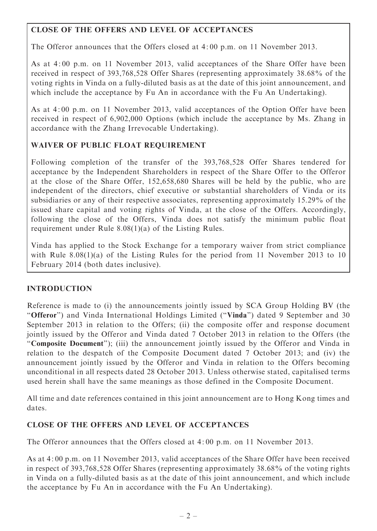## CLOSE OF THE OFFERS AND LEVEL OF ACCEPTANCES

The Offeror announces that the Offers closed at 4: 00 p.m. on 11 November 2013.

As at 4: 00 p.m. on 11 November 2013, valid acceptances of the Share Offer have been received in respect of 393,768,528 Offer Shares (representing approximately 38.68% of the voting rights in Vinda on a fully-diluted basis as at the date of this joint announcement, and which include the acceptance by Fu An in accordance with the Fu An Undertaking).

As at 4: 00 p.m. on 11 November 2013, valid acceptances of the Option Offer have been received in respect of 6,902,000 Options (which include the acceptance by Ms. Zhang in accordance with the Zhang Irrevocable Undertaking).

### WAIVER OF PUBLIC FLOAT REQUIREMENT

Following completion of the transfer of the 393,768,528 Offer Shares tendered for acceptance by the Independent Shareholders in respect of the Share Offer to the Offeror at the close of the Share Offer, 152,658,680 Shares will be held by the public, who are independent of the directors, chief executive or substantial shareholders of Vinda or its subsidiaries or any of their respective associates, representing approximately 15.29% of the issued share capital and voting rights of Vinda, at the close of the Offers. Accordingly, following the close of the Offers, Vinda does not satisfy the minimum public float requirement under Rule 8.08(1)(a) of the Listing Rules.

Vinda has applied to the Stock Exchange for a temporary waiver from strict compliance with Rule 8.08(1)(a) of the Listing Rules for the period from 11 November 2013 to 10 February 2014 (both dates inclusive).

### INTRODUCTION

Reference is made to (i) the announcements jointly issued by SCA Group Holding BV (the "Offeror") and Vinda International Holdings Limited ("Vinda") dated 9 September and 30 September 2013 in relation to the Offers; (ii) the composite offer and response document jointly issued by the Offeror and Vinda dated 7 October 2013 in relation to the Offers (the "Composite Document"); (iii) the announcement jointly issued by the Offeror and Vinda in relation to the despatch of the Composite Document dated 7 October 2013; and (iv) the announcement jointly issued by the Offeror and Vinda in relation to the Offers becoming unconditional in all respects dated 28 October 2013. Unless otherwise stated, capitalised terms used herein shall have the same meanings as those defined in the Composite Document.

All time and date references contained in this joint announcement are to Hong Kong times and dates.

### CLOSE OF THE OFFERS AND LEVEL OF ACCEPTANCES

The Offeror announces that the Offers closed at 4: 00 p.m. on 11 November 2013.

As at 4: 00 p.m. on 11 November 2013, valid acceptances of the Share Offer have been received in respect of 393,768,528 Offer Shares (representing approximately 38.68% of the voting rights in Vinda on a fully-diluted basis as at the date of this joint announcement, and which include the acceptance by Fu An in accordance with the Fu An Undertaking).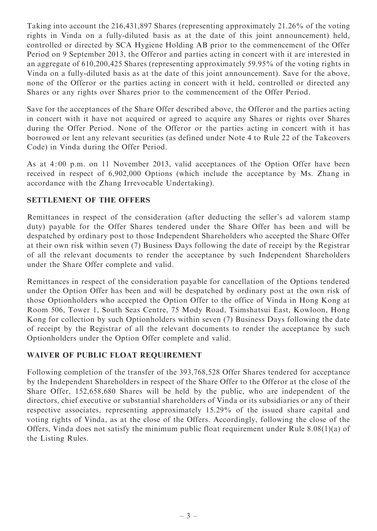Taking into account the 216,431,897 Shares (representing approximately 21.26% of the voting rights in Vinda on a fully-diluted basis as at the date of this joint announcement) held, controlled or directed by SCA Hygiene Holding AB prior to the commencement of the Offer Period on 9 September 2013, the Offeror and parties acting in concert with it are interested in an aggregate of 610,200,425 Shares (representing approximately 59.95% of the voting rights in Vinda on a fully-diluted basis as at the date of this joint announcement). Save for the above, none of the Offeror or the parties acting in concert with it held, controlled or directed any Shares or any rights over Shares prior to the commencement of the Offer Period.

Save for the acceptances of the Share Offer described above, the Offeror and the parties acting in concert with it have not acquired or agreed to acquire any Shares or rights over Shares during the Offer Period. None of the Offeror or the parties acting in concert with it has borrowed or lent any relevant securities (as defined under Note 4 to Rule 22 of the Takeovers Code) in Vinda during the Offer Period.

As at 4: 00 p.m. on 11 November 2013, valid acceptances of the Option Offer have been received in respect of 6,902,000 Options (which include the acceptance by Ms. Zhang in accordance with the Zhang Irrevocable Undertaking).

### SETTLEMENT OF THE OFFERS

Remittances in respect of the consideration (after deducting the seller's ad valorem stamp duty) payable for the Offer Shares tendered under the Share Offer has been and will be despatched by ordinary post to those Independent Shareholders who accepted the Share Offer at their own risk within seven (7) Business Days following the date of receipt by the Registrar of all the relevant documents to render the acceptance by such Independent Shareholders under the Share Offer complete and valid.

Remittances in respect of the consideration payable for cancellation of the Options tendered under the Option Offer has been and will be despatched by ordinary post at the own risk of those Optionholders who accepted the Option Offer to the office of Vinda in Hong Kong at Room 506, Tower 1, South Seas Centre, 75 Mody Road, Tsimshatsui East, Kowloon, Hong Kong for collection by such Optionholders within seven (7) Business Days following the date of receipt by the Registrar of all the relevant documents to render the acceptance by such Optionholders under the Option Offer complete and valid.

### WAIVER OF PUBLIC FLOAT REQUIREMENT

Following completion of the transfer of the 393,768,528 Offer Shares tendered for acceptance by the Independent Shareholders in respect of the Share Offer to the Offeror at the close of the Share Offer, 152,658,680 Shares will be held by the public, who are independent of the directors, chief executive or substantial shareholders of Vinda or its subsidiaries or any of their respective associates, representing approximately 15.29% of the issued share capital and voting rights of Vinda, as at the close of the Offers. Accordingly, following the close of the Offers, Vinda does not satisfy the minimum public float requirement under Rule 8.08(1)(a) of the Listing Rules.